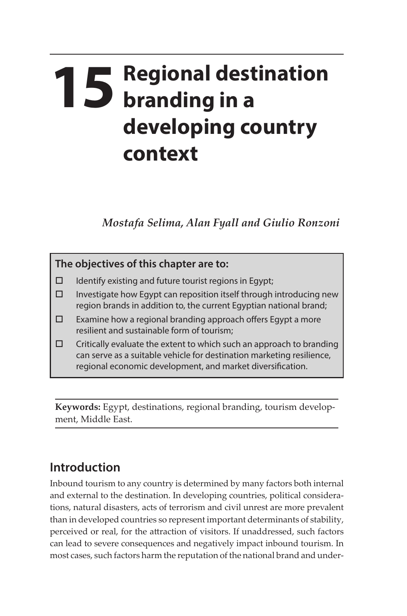# **15 Regional destination branding in a developing country context**

*Mostafa Selima, Alan Fyall and Giulio Ronzoni*

## **The objectives of this chapter are to:**   $\Box$  Identify existing and future tourist regions in Egypt;  $\square$  Investigate how Egypt can reposition itself through introducing new region brands in addition to, the current Egyptian national brand;  $\Box$  Examine how a regional branding approach offers Egypt a more resilient and sustainable form of tourism;  $\Box$  Critically evaluate the extent to which such an approach to branding can serve as a suitable vehicle for destination marketing resilience, regional economic development, and market diversification.

**Keywords:** Egypt, destinations, regional branding, tourism development, Middle East.

## **Introduction**

Inbound tourism to any country is determined by many factors both internal and external to the destination. In developing countries, political considerations, natural disasters, acts of terrorism and civil unrest are more prevalent than in developed countries so represent important determinants of stability, perceived or real, for the attraction of visitors. If unaddressed, such factors can lead to severe consequences and negatively impact inbound tourism. In most cases, such factors harm the reputation of the national brand and under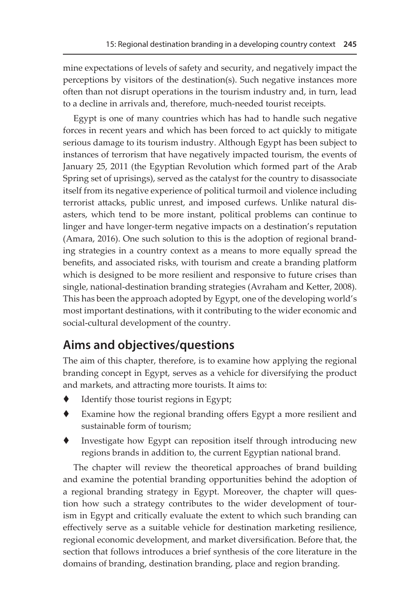mine expectations of levels of safety and security, and negatively impact the perceptions by visitors of the destination(s). Such negative instances more often than not disrupt operations in the tourism industry and, in turn, lead to a decline in arrivals and, therefore, much-needed tourist receipts.

Egypt is one of many countries which has had to handle such negative forces in recent years and which has been forced to act quickly to mitigate serious damage to its tourism industry. Although Egypt has been subject to instances of terrorism that have negatively impacted tourism, the events of January 25, 2011 (the Egyptian Revolution which formed part of the Arab Spring set of uprisings), served as the catalyst for the country to disassociate itself from its negative experience of political turmoil and violence including terrorist attacks, public unrest, and imposed curfews. Unlike natural disasters, which tend to be more instant, political problems can continue to linger and have longer-term negative impacts on a destination's reputation (Amara, 2016). One such solution to this is the adoption of regional branding strategies in a country context as a means to more equally spread the benefits, and associated risks, with tourism and create a branding platform which is designed to be more resilient and responsive to future crises than single, national-destination branding strategies (Avraham and Ketter, 2008). This has been the approach adopted by Egypt, one of the developing world's most important destinations, with it contributing to the wider economic and social-cultural development of the country.

### **Aims and objectives/questions**

The aim of this chapter, therefore, is to examine how applying the regional branding concept in Egypt, serves as a vehicle for diversifying the product and markets, and attracting more tourists. It aims to:

- Identify those tourist regions in Egypt;
- Examine how the regional branding offers Egypt a more resilient and sustainable form of tourism;
- Investigate how Egypt can reposition itself through introducing new regions brands in addition to, the current Egyptian national brand.

The chapter will review the theoretical approaches of brand building and examine the potential branding opportunities behind the adoption of a regional branding strategy in Egypt. Moreover, the chapter will question how such a strategy contributes to the wider development of tourism in Egypt and critically evaluate the extent to which such branding can effectively serve as a suitable vehicle for destination marketing resilience, regional economic development, and market diversification. Before that, the section that follows introduces a brief synthesis of the core literature in the domains of branding, destination branding, place and region branding.